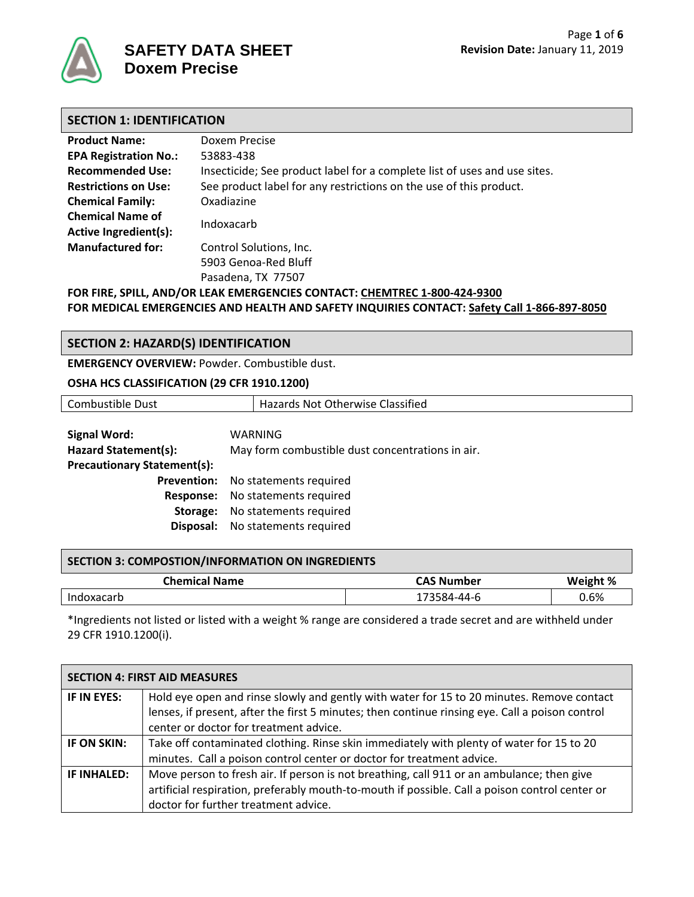

| <b>SECTION 1: IDENTIFICATION</b> |                                                                           |
|----------------------------------|---------------------------------------------------------------------------|
| <b>Product Name:</b>             | Doxem Precise                                                             |
| <b>EPA Registration No.:</b>     | 53883-438                                                                 |
| <b>Recommended Use:</b>          | Insecticide; See product label for a complete list of uses and use sites. |
| <b>Restrictions on Use:</b>      | See product label for any restrictions on the use of this product.        |
| <b>Chemical Family:</b>          | Oxadiazine                                                                |
| <b>Chemical Name of</b>          | Indoxacarb                                                                |
| <b>Active Ingredient(s):</b>     |                                                                           |
| <b>Manufactured for:</b>         | Control Solutions, Inc.                                                   |
|                                  | 5903 Genoa-Red Bluff                                                      |
|                                  | Pasadena, TX 77507                                                        |

**FOR FIRE, SPILL, AND/OR LEAK EMERGENCIES CONTACT: CHEMTREC 1-800-424-9300 FOR MEDICAL EMERGENCIES AND HEALTH AND SAFETY INQUIRIES CONTACT: Safety Call 1-866-897-8050**

## **SECTION 2: HAZARD(S) IDENTIFICATION**

**EMERGENCY OVERVIEW:** Powder. Combustible dust.

## **OSHA HCS CLASSIFICATION (29 CFR 1910.1200)**

| Combustible Dust                   | Hazards Not Otherwise Classified                 |  |
|------------------------------------|--------------------------------------------------|--|
|                                    |                                                  |  |
| Signal Word:                       | WARNING                                          |  |
| Hazard Statement(s):               | May form combustible dust concentrations in air. |  |
| <b>Precautionary Statement(s):</b> |                                                  |  |
| <b>Prevention:</b>                 | No statements required                           |  |
| Response:                          | No statements required                           |  |
| Storage:                           | No statements required                           |  |
| Disposal:                          | No statements required                           |  |

| SECTION 3: COMPOSTION/INFORMATION ON INGREDIENTS |                   |          |
|--------------------------------------------------|-------------------|----------|
| <b>Chemical Name</b>                             | <b>CAS Number</b> | Weight % |
| Indoxacarb                                       | 173584-44-6       | 0.6%     |

\*Ingredients not listed or listed with a weight % range are considered a trade secret and are withheld under 29 CFR 1910.1200(i).

| <b>SECTION 4: FIRST AID MEASURES</b> |                                                                                                                                                                                                                                        |  |
|--------------------------------------|----------------------------------------------------------------------------------------------------------------------------------------------------------------------------------------------------------------------------------------|--|
| IF IN EYES:                          | Hold eye open and rinse slowly and gently with water for 15 to 20 minutes. Remove contact<br>lenses, if present, after the first 5 minutes; then continue rinsing eye. Call a poison control<br>center or doctor for treatment advice. |  |
| IF ON SKIN:                          | Take off contaminated clothing. Rinse skin immediately with plenty of water for 15 to 20<br>minutes. Call a poison control center or doctor for treatment advice.                                                                      |  |
| <b>IF INHALED:</b>                   | Move person to fresh air. If person is not breathing, call 911 or an ambulance; then give<br>artificial respiration, preferably mouth-to-mouth if possible. Call a poison control center or<br>doctor for further treatment advice.    |  |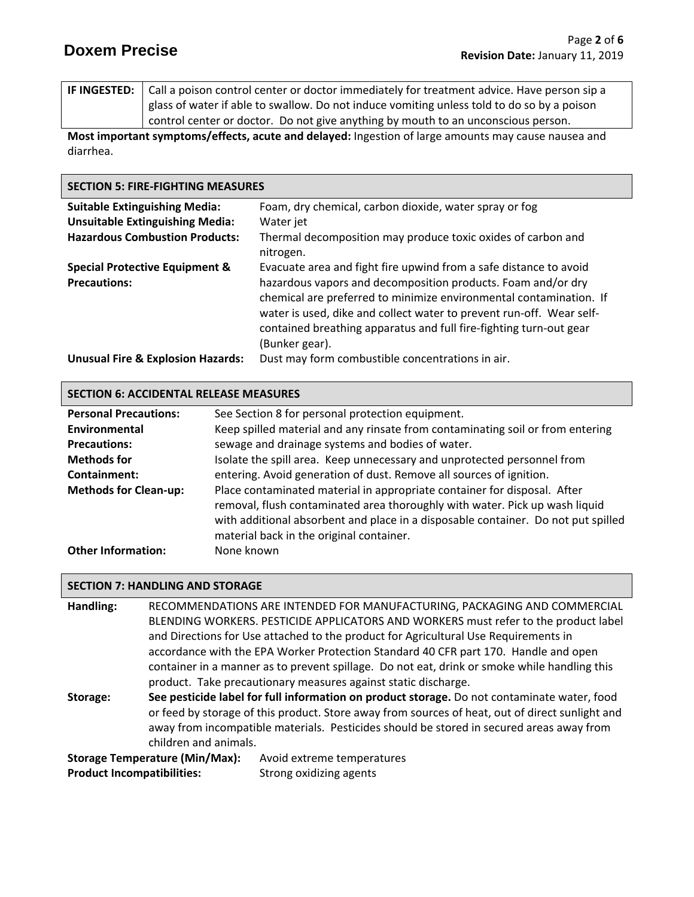**IF INGESTED:** Call a poison control center or doctor immediately for treatment advice. Have person sip a glass of water if able to swallow. Do not induce vomiting unless told to do so by a poison control center or doctor. Do not give anything by mouth to an unconscious person.

**Most important symptoms/effects, acute and delayed:** Ingestion of large amounts may cause nausea and diarrhea.

| <b>SECTION 5: FIRE-FIGHTING MEASURES</b>                                                                                |                                                                                                                                                                                                                                                                                              |  |
|-------------------------------------------------------------------------------------------------------------------------|----------------------------------------------------------------------------------------------------------------------------------------------------------------------------------------------------------------------------------------------------------------------------------------------|--|
| <b>Suitable Extinguishing Media:</b><br><b>Unsuitable Extinguishing Media:</b><br><b>Hazardous Combustion Products:</b> | Foam, dry chemical, carbon dioxide, water spray or fog<br>Water jet<br>Thermal decomposition may produce toxic oxides of carbon and                                                                                                                                                          |  |
| <b>Special Protective Equipment &amp;</b><br><b>Precautions:</b>                                                        | nitrogen.<br>Evacuate area and fight fire upwind from a safe distance to avoid<br>hazardous vapors and decomposition products. Foam and/or dry<br>chemical are preferred to minimize environmental contamination. If<br>water is used, dike and collect water to prevent run-off. Wear self- |  |
| <b>Unusual Fire &amp; Explosion Hazards:</b>                                                                            | contained breathing apparatus and full fire-fighting turn-out gear<br>(Bunker gear).<br>Dust may form combustible concentrations in air.                                                                                                                                                     |  |

## **SECTION 6: ACCIDENTAL RELEASE MEASURES**

| <b>Personal Precautions:</b> | See Section 8 for personal protection equipment.                                                                                                                                                                                                                                         |
|------------------------------|------------------------------------------------------------------------------------------------------------------------------------------------------------------------------------------------------------------------------------------------------------------------------------------|
| Environmental                | Keep spilled material and any rinsate from contaminating soil or from entering                                                                                                                                                                                                           |
| <b>Precautions:</b>          | sewage and drainage systems and bodies of water.                                                                                                                                                                                                                                         |
| <b>Methods for</b>           | Isolate the spill area. Keep unnecessary and unprotected personnel from                                                                                                                                                                                                                  |
| Containment:                 | entering. Avoid generation of dust. Remove all sources of ignition.                                                                                                                                                                                                                      |
| <b>Methods for Clean-up:</b> | Place contaminated material in appropriate container for disposal. After<br>removal, flush contaminated area thoroughly with water. Pick up wash liquid<br>with additional absorbent and place in a disposable container. Do not put spilled<br>material back in the original container. |
| <b>Other Information:</b>    | None known                                                                                                                                                                                                                                                                               |

## **SECTION 7: HANDLING AND STORAGE**

**Handling:** RECOMMENDATIONS ARE INTENDED FOR MANUFACTURING, PACKAGING AND COMMERCIAL BLENDING WORKERS. PESTICIDE APPLICATORS AND WORKERS must refer to the product label and Directions for Use attached to the product for Agricultural Use Requirements in accordance with the EPA Worker Protection Standard 40 CFR part 170.Handle and open container in a manner as to prevent spillage. Do not eat, drink or smoke while handling this product. Take precautionary measures against static discharge. **Storage: See pesticide label for full information on product storage.** Do not contaminate water, food

or feed by storage of this product. Store away from sources of heat, out of direct sunlight and away from incompatible materials. Pesticides should be stored in secured areas away from children and animals.

**Storage Temperature (Min/Max):** Avoid extreme temperatures **Product Incompatibilities:** Strong oxidizing agents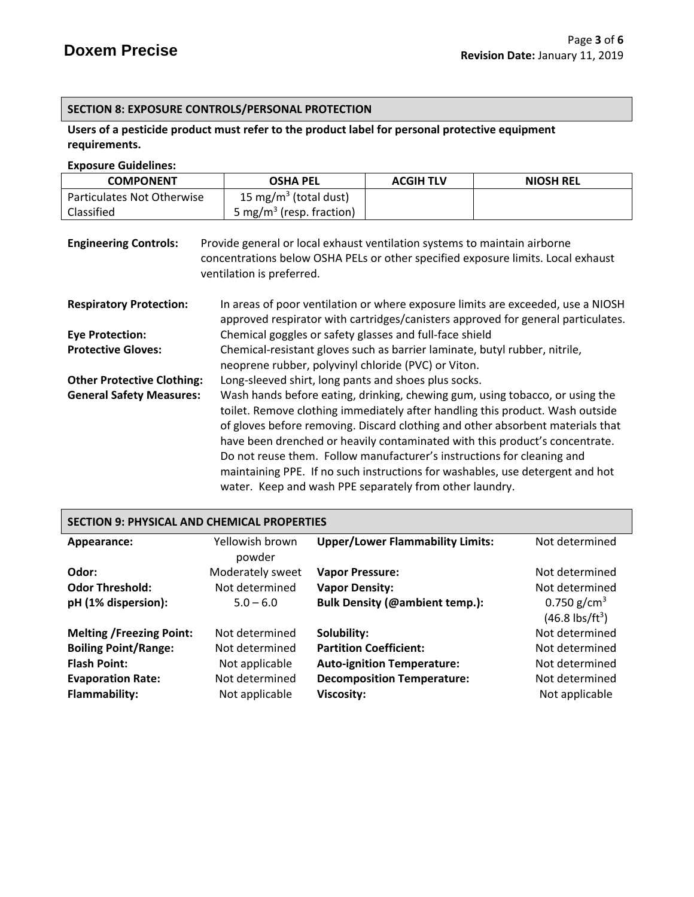# **SECTION 8: EXPOSURE CONTROLS/PERSONAL PROTECTION**

# **Users of a pesticide product must refer to the product label for personal protective equipment requirements.**

#### **Exposure Guidelines:**

| <b>COMPONENT</b>                  | OSHA PEL                             | <b>ACGIH TLV</b> | <b>NIOSH REL</b> |
|-----------------------------------|--------------------------------------|------------------|------------------|
| <b>Particulates Not Otherwise</b> | 15 mg/m <sup>3</sup> (total dust)    |                  |                  |
| Classified                        | 5 mg/m <sup>3</sup> (resp. fraction) |                  |                  |

| <b>Engineering Controls:</b>      | Provide general or local exhaust ventilation systems to maintain airborne<br>concentrations below OSHA PELs or other specified exposure limits. Local exhaust<br>ventilation is preferred.                                                                                                                                                                                                                                                                                                                                                           |
|-----------------------------------|------------------------------------------------------------------------------------------------------------------------------------------------------------------------------------------------------------------------------------------------------------------------------------------------------------------------------------------------------------------------------------------------------------------------------------------------------------------------------------------------------------------------------------------------------|
| <b>Respiratory Protection:</b>    | In areas of poor ventilation or where exposure limits are exceeded, use a NIOSH<br>approved respirator with cartridges/canisters approved for general particulates.                                                                                                                                                                                                                                                                                                                                                                                  |
| <b>Eye Protection:</b>            | Chemical goggles or safety glasses and full-face shield                                                                                                                                                                                                                                                                                                                                                                                                                                                                                              |
| <b>Protective Gloves:</b>         | Chemical-resistant gloves such as barrier laminate, butyl rubber, nitrile,<br>neoprene rubber, polyvinyl chloride (PVC) or Viton.                                                                                                                                                                                                                                                                                                                                                                                                                    |
| <b>Other Protective Clothing:</b> | Long-sleeved shirt, long pants and shoes plus socks.                                                                                                                                                                                                                                                                                                                                                                                                                                                                                                 |
| <b>General Safety Measures:</b>   | Wash hands before eating, drinking, chewing gum, using tobacco, or using the<br>toilet. Remove clothing immediately after handling this product. Wash outside<br>of gloves before removing. Discard clothing and other absorbent materials that<br>have been drenched or heavily contaminated with this product's concentrate.<br>Do not reuse them. Follow manufacturer's instructions for cleaning and<br>maintaining PPE. If no such instructions for washables, use detergent and hot<br>water. Keep and wash PPE separately from other laundry. |

| <b>SECTION 9: PHYSICAL AND CHEMICAL PROPERTIES</b> |                           |                                         |                                                      |
|----------------------------------------------------|---------------------------|-----------------------------------------|------------------------------------------------------|
| Appearance:                                        | Yellowish brown<br>powder | <b>Upper/Lower Flammability Limits:</b> | Not determined                                       |
| Odor:                                              | Moderately sweet          | <b>Vapor Pressure:</b>                  | Not determined                                       |
| <b>Odor Threshold:</b>                             | Not determined            | <b>Vapor Density:</b>                   | Not determined                                       |
| pH (1% dispersion):                                | $5.0 - 6.0$               | <b>Bulk Density (@ambient temp.):</b>   | 0.750 g/cm <sup>3</sup><br>$(46.8 \text{ lbs/ft}^3)$ |
| <b>Melting /Freezing Point:</b>                    | Not determined            | Solubility:                             | Not determined                                       |
| <b>Boiling Point/Range:</b>                        | Not determined            | <b>Partition Coefficient:</b>           | Not determined                                       |
| <b>Flash Point:</b>                                | Not applicable            | <b>Auto-ignition Temperature:</b>       | Not determined                                       |
| <b>Evaporation Rate:</b>                           | Not determined            | <b>Decomposition Temperature:</b>       | Not determined                                       |
| <b>Flammability:</b>                               | Not applicable            | <b>Viscosity:</b>                       | Not applicable                                       |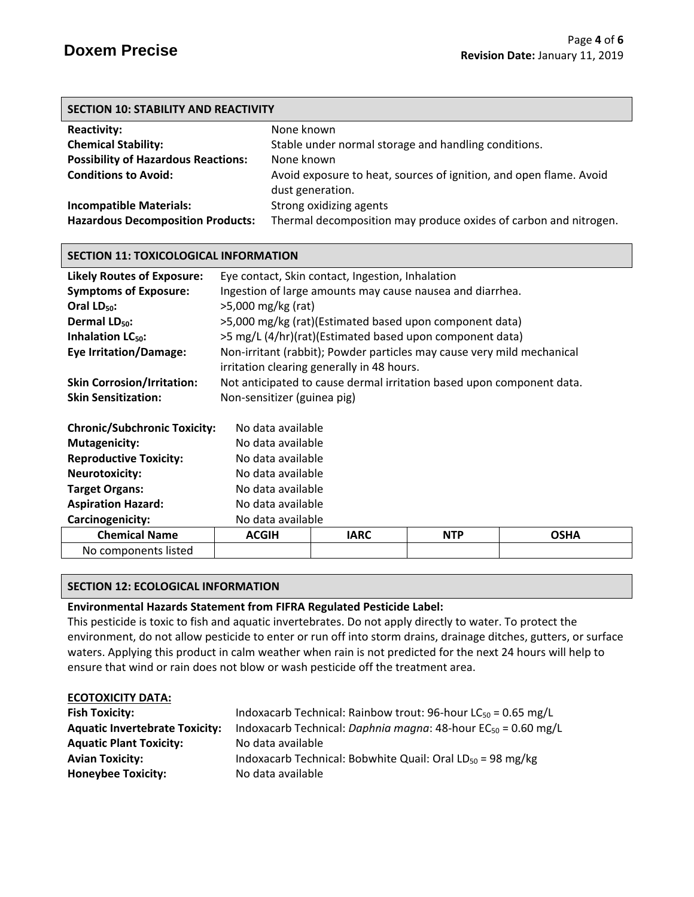| <b>SECTION 10: STABILITY AND REACTIVITY</b> |                                                                    |  |
|---------------------------------------------|--------------------------------------------------------------------|--|
| <b>Reactivity:</b>                          | None known                                                         |  |
| <b>Chemical Stability:</b>                  | Stable under normal storage and handling conditions.               |  |
| <b>Possibility of Hazardous Reactions:</b>  | None known                                                         |  |
| <b>Conditions to Avoid:</b>                 | Avoid exposure to heat, sources of ignition, and open flame. Avoid |  |
|                                             | dust generation.                                                   |  |
| <b>Incompatible Materials:</b>              | Strong oxidizing agents                                            |  |
| <b>Hazardous Decomposition Products:</b>    | Thermal decomposition may produce oxides of carbon and nitrogen.   |  |

| <b>SECTION 11: TOXICOLOGICAL INFORMATION</b> |                                                                       |                                                                        |            |             |
|----------------------------------------------|-----------------------------------------------------------------------|------------------------------------------------------------------------|------------|-------------|
| <b>Likely Routes of Exposure:</b>            | Eye contact, Skin contact, Ingestion, Inhalation                      |                                                                        |            |             |
| <b>Symptoms of Exposure:</b>                 |                                                                       | Ingestion of large amounts may cause nausea and diarrhea.              |            |             |
| Oral LD <sub>50</sub> :                      | $>5,000$ mg/kg (rat)                                                  |                                                                        |            |             |
| Dermal LD <sub>50</sub> :                    |                                                                       | >5,000 mg/kg (rat)(Estimated based upon component data)                |            |             |
| Inhalation $LC_{50}$ :                       |                                                                       | >5 mg/L (4/hr)(rat)(Estimated based upon component data)               |            |             |
| <b>Eye Irritation/Damage:</b>                |                                                                       | Non-irritant (rabbit); Powder particles may cause very mild mechanical |            |             |
|                                              |                                                                       | irritation clearing generally in 48 hours.                             |            |             |
| <b>Skin Corrosion/Irritation:</b>            | Not anticipated to cause dermal irritation based upon component data. |                                                                        |            |             |
| <b>Skin Sensitization:</b>                   | Non-sensitizer (guinea pig)                                           |                                                                        |            |             |
|                                              |                                                                       |                                                                        |            |             |
| <b>Chronic/Subchronic Toxicity:</b>          | No data available                                                     |                                                                        |            |             |
| <b>Mutagenicity:</b>                         | No data available                                                     |                                                                        |            |             |
| <b>Reproductive Toxicity:</b>                | No data available                                                     |                                                                        |            |             |
| <b>Neurotoxicity:</b>                        | No data available                                                     |                                                                        |            |             |
| <b>Target Organs:</b>                        | No data available                                                     |                                                                        |            |             |
| <b>Aspiration Hazard:</b>                    | No data available                                                     |                                                                        |            |             |
| Carcinogenicity:                             | No data available                                                     |                                                                        |            |             |
| <b>Chemical Name</b>                         | <b>ACGIH</b>                                                          | <b>IARC</b>                                                            | <b>NTP</b> | <b>OSHA</b> |
| No components listed                         |                                                                       |                                                                        |            |             |

#### **SECTION 12: ECOLOGICAL INFORMATION**

#### **Environmental Hazards Statement from FIFRA Regulated Pesticide Label:**

This pesticide is toxic to fish and aquatic invertebrates. Do not apply directly to water. To protect the environment, do not allow pesticide to enter or run off into storm drains, drainage ditches, gutters, or surface waters. Applying this product in calm weather when rain is not predicted for the next 24 hours will help to ensure that wind or rain does not blow or wash pesticide off the treatment area.

#### **ECOTOXICITY DATA:**

| <b>Fish Toxicity:</b>                 | Indoxacarb Technical: Rainbow trout: 96-hour $LC_{50} = 0.65$ mg/L |
|---------------------------------------|--------------------------------------------------------------------|
| <b>Aquatic Invertebrate Toxicity:</b> | Indoxacarb Technical: Daphnia magna: 48-hour $EC_{50} = 0.60$ mg/L |
| <b>Aquatic Plant Toxicity:</b>        | No data available                                                  |
| <b>Avian Toxicity:</b>                | Indoxacarb Technical: Bobwhite Quail: Oral $LD_{50} = 98$ mg/kg    |
| <b>Honeybee Toxicity:</b>             | No data available                                                  |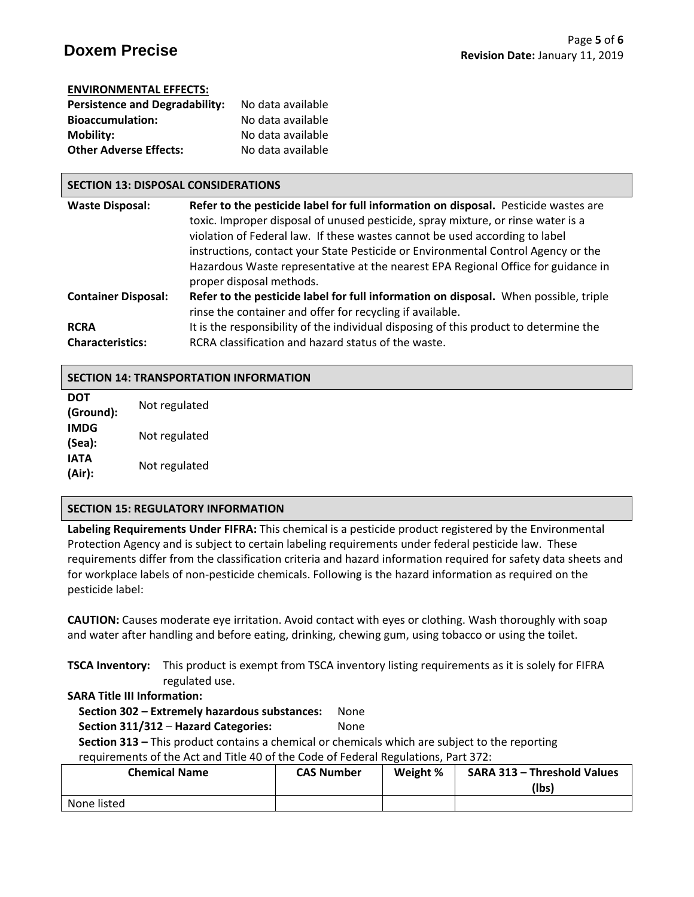## **ENVIRONMENTAL EFFECTS:**

| <b>Persistence and Degradability:</b> | No data available |
|---------------------------------------|-------------------|
| <b>Bioaccumulation:</b>               | No data available |
| <b>Mobility:</b>                      | No data available |
| <b>Other Adverse Effects:</b>         | No data available |

#### **SECTION 13: DISPOSAL CONSIDERATIONS**

| <b>Waste Disposal:</b>     | Refer to the pesticide label for full information on disposal. Pesticide wastes are   |
|----------------------------|---------------------------------------------------------------------------------------|
|                            | toxic. Improper disposal of unused pesticide, spray mixture, or rinse water is a      |
|                            | violation of Federal law. If these wastes cannot be used according to label           |
|                            | instructions, contact your State Pesticide or Environmental Control Agency or the     |
|                            | Hazardous Waste representative at the nearest EPA Regional Office for guidance in     |
|                            | proper disposal methods.                                                              |
| <b>Container Disposal:</b> | Refer to the pesticide label for full information on disposal. When possible, triple  |
|                            | rinse the container and offer for recycling if available.                             |
| <b>RCRA</b>                | It is the responsibility of the individual disposing of this product to determine the |
| <b>Characteristics:</b>    | RCRA classification and hazard status of the waste.                                   |
|                            |                                                                                       |
|                            |                                                                                       |

# **SECTION 14: TRANSPORTATION INFORMATION**

| <b>DOT</b><br>(Ground): | Not regulated |
|-------------------------|---------------|
| <b>IMDG</b><br>(Sea):   | Not regulated |
| <b>IATA</b><br>(Air):   | Not regulated |

## **SECTION 15: REGULATORY INFORMATION**

**Labeling Requirements Under FIFRA:** This chemical is a pesticide product registered by the Environmental Protection Agency and is subject to certain labeling requirements under federal pesticide law. These requirements differ from the classification criteria and hazard information required for safety data sheets and for workplace labels of non-pesticide chemicals. Following is the hazard information as required on the pesticide label:

**CAUTION:** Causes moderate eye irritation. Avoid contact with eyes or clothing. Wash thoroughly with soap and water after handling and before eating, drinking, chewing gum, using tobacco or using the toilet.

**TSCA Inventory:** This product is exempt from TSCA inventory listing requirements as it is solely for FIFRA regulated use.

## **SARA Title III Information:**

 **Section 302 – Extremely hazardous substances:** None

## **Section 311/312** – **Hazard Categories:** None

 **Section 313 –** This product contains a chemical or chemicals which are subject to the reporting requirements of the Act and Title 40 of the Code of Federal Regulations, Part 372:

| <b>Chemical Name</b> | <b>CAS Number</b> | Weight % | <b>SARA 313 - Threshold Values</b><br>(lbs) |
|----------------------|-------------------|----------|---------------------------------------------|
| None listed          |                   |          |                                             |